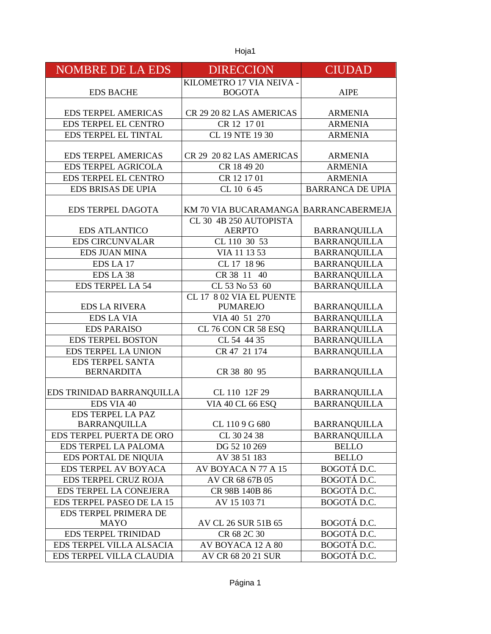| <b>NOMBRE DE LA EDS</b>     | <b>DIRECCION</b>                      | <b>CIUDAD</b>           |
|-----------------------------|---------------------------------------|-------------------------|
|                             | KILOMETRO 17 VIA NEIVA -              |                         |
| <b>EDS BACHE</b>            | <b>BOGOTA</b>                         | <b>AIPE</b>             |
| <b>EDS TERPEL AMERICAS</b>  | CR 29 20 82 LAS AMERICAS              | <b>ARMENIA</b>          |
| EDS TERPEL EL CENTRO        | CR 12 17 01                           | <b>ARMENIA</b>          |
| EDS TERPEL EL TINTAL        | CL 19 NTE 19 30                       | <b>ARMENIA</b>          |
|                             |                                       |                         |
| <b>EDS TERPEL AMERICAS</b>  | CR 29 20 82 LAS AMERICAS              | <b>ARMENIA</b>          |
| <b>EDS TERPEL AGRICOLA</b>  | CR 18 49 20                           | <b>ARMENIA</b>          |
| EDS TERPEL EL CENTRO        | CR 12 17 01                           | <b>ARMENIA</b>          |
| EDS BRISAS DE UPIA          | CL 10 6 45                            | <b>BARRANCA DE UPIA</b> |
|                             |                                       |                         |
| <b>EDS TERPEL DAGOTA</b>    | KM 70 VIA BUCARAMANGA BARRANCABERMEJA |                         |
|                             | CL 30 4B 250 AUTOPISTA                |                         |
| <b>EDS ATLANTICO</b>        | <b>AERPTO</b>                         | <b>BARRANQUILLA</b>     |
| <b>EDS CIRCUNVALAR</b>      | CL 110 30 53                          | <b>BARRANQUILLA</b>     |
| <b>EDS JUAN MINA</b>        | VIA 11 13 53                          | <b>BARRANQUILLA</b>     |
| EDS LA 17                   | CL 17 18 96                           | <b>BARRANQUILLA</b>     |
| EDS LA 38                   | CR 38 11 40                           | <b>BARRANQUILLA</b>     |
| <b>EDS TERPEL LA 54</b>     | CL 53 No 53 60                        | <b>BARRANQUILLA</b>     |
|                             | CL 17 8 02 VIA EL PUENTE              |                         |
| <b>EDS LA RIVERA</b>        | <b>PUMAREJO</b>                       | <b>BARRANQUILLA</b>     |
| <b>EDS LA VIA</b>           | VIA 40 51 270                         | <b>BARRANQUILLA</b>     |
| <b>EDS PARAISO</b>          | CL 76 CON CR 58 ESQ                   | <b>BARRANQUILLA</b>     |
| <b>EDS TERPEL BOSTON</b>    | CL 54 44 35                           | <b>BARRANQUILLA</b>     |
| <b>EDS TERPEL LA UNION</b>  | CR 47 21 174                          | <b>BARRANQUILLA</b>     |
| <b>EDS TERPEL SANTA</b>     |                                       |                         |
| <b>BERNARDITA</b>           | CR 38 80 95                           | <b>BARRANQUILLA</b>     |
| EDS TRINIDAD BARRANQUILLA   | CL 110 12F 29                         | <b>BARRANQUILLA</b>     |
| EDS VIA 40                  | <b>VIA 40 CL 66 ESQ</b>               | <b>BARRANQUILLA</b>     |
| <b>EDS TERPEL LA PAZ</b>    |                                       |                         |
| <b>BARRANQUILLA</b>         | CL 1109G 680                          | <b>BARRANQUILLA</b>     |
| EDS TERPEL PUERTA DE ORO    | CL 30 24 38                           | <b>BARRANQUILLA</b>     |
| EDS TERPEL LA PALOMA        | DG 52 10 269                          | <b>BELLO</b>            |
| EDS PORTAL DE NIQUIA        | AV 38 51 183                          | <b>BELLO</b>            |
| EDS TERPEL AV BOYACA        | AV BOYACA N 77 A 15                   | BOGOTÁ D.C.             |
| <b>EDS TERPEL CRUZ ROJA</b> | AV CR 68 67B 05                       | BOGOTÁ D.C.             |
| EDS TERPEL LA CONEJERA      | CR 98B 140B 86                        | BOGOTÁ D.C.             |
| EDS TERPEL PASEO DE LA 15   | AV 15 103 71                          | BOGOTÁ D.C.             |
| EDS TERPEL PRIMERA DE       |                                       |                         |
| <b>MAYO</b>                 | AV CL 26 SUR 51B 65                   | BOGOTÁ D.C.             |
| <b>EDS TERPEL TRINIDAD</b>  | CR 68 2C 30                           | BOGOTÁ D.C.             |
| EDS TERPEL VILLA ALSACIA    | AV BOYACA 12 A 80                     | BOGOTÁ D.C.             |
| EDS TERPEL VILLA CLAUDIA    | AV CR 68 20 21 SUR                    | BOGOTÁ D.C.             |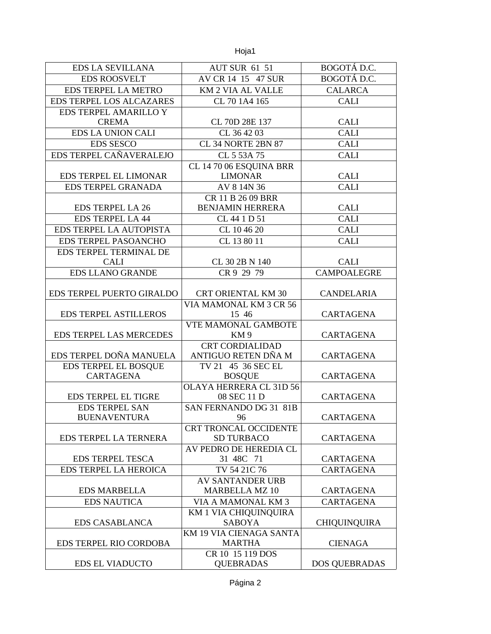| <b>EDS LA SEVILLANA</b>                  | <b>AUT SUR 61 51</b>                     | BOGOTÁ D.C.          |
|------------------------------------------|------------------------------------------|----------------------|
| <b>EDS ROOSVELT</b>                      | AV CR 14 15 47 SUR                       | BOGOTÁ D.C.          |
| EDS TERPEL LA METRO                      | KM 2 VIA AL VALLE                        | <b>CALARCA</b>       |
| <b>EDS TERPEL LOS ALCAZARES</b>          | CL 70 1A4 165                            | <b>CALI</b>          |
| EDS TERPEL AMARILLO Y                    |                                          |                      |
| <b>CREMA</b>                             | CL 70D 28E 137                           | <b>CALI</b>          |
| <b>EDS LA UNION CALI</b>                 | CL 36 42 03                              | <b>CALI</b>          |
| <b>EDS SESCO</b>                         | CL 34 NORTE 2BN 87                       | <b>CALI</b>          |
| EDS TERPEL CAÑAVERALEJO                  | CL 5 53A 75                              | <b>CALI</b>          |
|                                          | CL 14 70 06 ESQUINA BRR                  |                      |
| EDS TERPEL EL LIMONAR                    | <b>LIMONAR</b>                           | <b>CALI</b>          |
| EDS TERPEL GRANADA                       | AV 8 14N 36                              | <b>CALI</b>          |
|                                          | CR 11 B 26 09 BRR                        |                      |
| <b>EDS TERPEL LA 26</b>                  | <b>BENJAMIN HERRERA</b>                  | <b>CALI</b>          |
| <b>EDS TERPEL LA 44</b>                  | CL 44 1 D 51                             | <b>CALI</b>          |
| EDS TERPEL LA AUTOPISTA                  | CL 10 46 20                              | <b>CALI</b>          |
| EDS TERPEL PASOANCHO                     | CL 13 80 11                              | <b>CALI</b>          |
| EDS TERPEL TERMINAL DE                   |                                          |                      |
| <b>CALI</b>                              | CL 30 2B N 140                           | <b>CALI</b>          |
| <b>EDS LLANO GRANDE</b>                  | CR 9 29 79                               | <b>CAMPOALEGRE</b>   |
|                                          |                                          |                      |
| EDS TERPEL PUERTO GIRALDO                | <b>CRT ORIENTAL KM 30</b>                | CANDELARIA           |
|                                          | VIA MAMONAL KM 3 CR 56                   |                      |
| <b>EDS TERPEL ASTILLEROS</b>             | 15 46                                    | <b>CARTAGENA</b>     |
|                                          | VTE MAMONAL GAMBOTE                      |                      |
| EDS TERPEL LAS MERCEDES                  | KM <sub>9</sub>                          | CARTAGENA            |
| EDS TERPEL DOÑA MANUELA                  | <b>CRT CORDIALIDAD</b>                   |                      |
|                                          | ANTIGUO RETEN DÑA M                      | CARTAGENA            |
| EDS TERPEL EL BOSQUE<br><b>CARTAGENA</b> | TV 21 45 36 SEC EL                       |                      |
|                                          | <b>BOSQUE</b><br>OLAYA HERRERA CL 31D 56 | CARTAGENA            |
| <b>EDS TERPEL EL TIGRE</b>               | 08 SEC 11 D                              | <b>CARTAGENA</b>     |
| <b>EDS TERPEL SAN</b>                    | SAN FERNANDO DG 31 81B                   |                      |
| <b>BUENAVENTURA</b>                      | 96                                       | CARTAGENA            |
|                                          | <b>CRT TRONCAL OCCIDENTE</b>             |                      |
| EDS TERPEL LA TERNERA                    | <b>SD TURBACO</b>                        | CARTAGENA            |
|                                          | AV PEDRO DE HEREDIA CL                   |                      |
| <b>EDS TERPEL TESCA</b>                  | 31 48C 71                                | CARTAGENA            |
| EDS TERPEL LA HEROICA                    | TV 54 21C 76                             | <b>CARTAGENA</b>     |
|                                          | <b>AV SANTANDER URB</b>                  |                      |
| <b>EDS MARBELLA</b>                      | <b>MARBELLA MZ 10</b>                    | CARTAGENA            |
| <b>EDS NAUTICA</b>                       | VIA A MAMONAL KM 3                       | CARTAGENA            |
|                                          | <b>KM 1 VIA CHIQUINQUIRA</b>             |                      |
| <b>EDS CASABLANCA</b>                    | <b>SABOYA</b>                            | <b>CHIQUINQUIRA</b>  |
|                                          | KM 19 VIA CIENAGA SANTA                  |                      |
| EDS TERPEL RIO CORDOBA                   | <b>MARTHA</b>                            | <b>CIENAGA</b>       |
|                                          | CR 10 15 119 DOS                         |                      |
| <b>EDS EL VIADUCTO</b>                   | <b>QUEBRADAS</b>                         | <b>DOS QUEBRADAS</b> |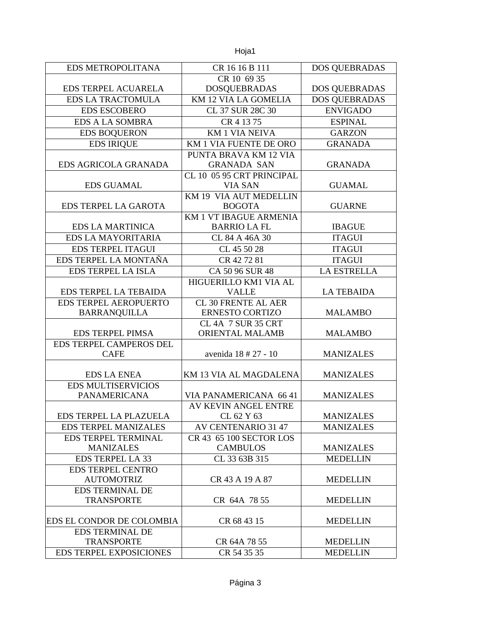| <b>EDS METROPOLITANA</b>       | CR 16 16 B 111             | <b>DOS QUEBRADAS</b> |
|--------------------------------|----------------------------|----------------------|
|                                | CR 10 69 35                |                      |
| <b>EDS TERPEL ACUARELA</b>     | <b>DOSQUEBRADAS</b>        | <b>DOS QUEBRADAS</b> |
| <b>EDS LA TRACTOMULA</b>       | KM 12 VIA LA GOMELIA       | <b>DOS QUEBRADAS</b> |
| <b>EDS ESCOBERO</b>            | CL 37 SUR 28C 30           | <b>ENVIGADO</b>      |
| <b>EDS A LA SOMBRA</b>         | CR 4 13 75                 | <b>ESPINAL</b>       |
| <b>EDS BOQUERON</b>            | <b>KM1 VIA NEIVA</b>       | <b>GARZON</b>        |
| <b>EDS IRIQUE</b>              | KM 1 VIA FUENTE DE ORO     | <b>GRANADA</b>       |
|                                | PUNTA BRAVA KM 12 VIA      |                      |
| EDS AGRICOLA GRANADA           | <b>GRANADA SAN</b>         | <b>GRANADA</b>       |
|                                | CL 10 05 95 CRT PRINCIPAL  |                      |
| <b>EDS GUAMAL</b>              | <b>VIA SAN</b>             | <b>GUAMAL</b>        |
|                                | KM 19 VIA AUT MEDELLIN     |                      |
| EDS TERPEL LA GAROTA           | <b>BOGOTA</b>              | <b>GUARNE</b>        |
|                                | KM 1 VT IBAGUE ARMENIA     |                      |
| <b>EDS LA MARTINICA</b>        | <b>BARRIO LA FL</b>        | <b>IBAGUE</b>        |
| <b>EDS LA MAYORITARIA</b>      | CL 84 A 46A 30             | <b>ITAGUI</b>        |
| <b>EDS TERPEL ITAGUI</b>       | CL 45 50 28                | <b>ITAGUI</b>        |
| EDS TERPEL LA MONTAÑA          | CR 42 72 81                | <b>ITAGUI</b>        |
| <b>EDS TERPEL LA ISLA</b>      | CA 50 96 SUR 48            | <b>LA ESTRELLA</b>   |
|                                | HIGUERILLO KM1 VIA AL      |                      |
| EDS TERPEL LA TEBAIDA          | <b>VALLE</b>               | <b>LA TEBAIDA</b>    |
| EDS TERPEL AEROPUERTO          | <b>CL 30 FRENTE AL AER</b> |                      |
| <b>BARRANQUILLA</b>            | <b>ERNESTO CORTIZO</b>     | <b>MALAMBO</b>       |
|                                | CL 4A 7 SUR 35 CRT         |                      |
| <b>EDS TERPEL PIMSA</b>        | <b>ORIENTAL MALAMB</b>     | <b>MALAMBO</b>       |
| EDS TERPEL CAMPEROS DEL        |                            |                      |
| <b>CAFE</b>                    | avenida 18 # 27 - 10       | <b>MANIZALES</b>     |
| <b>EDS LA ENEA</b>             | KM 13 VIA AL MAGDALENA     | <b>MANIZALES</b>     |
| <b>EDS MULTISERVICIOS</b>      |                            |                      |
| <b>PANAMERICANA</b>            | VIA PANAMERICANA 66 41     | <b>MANIZALES</b>     |
|                                | AV KEVIN ANGEL ENTRE       |                      |
| EDS TERPEL LA PLAZUELA         | CL 62 Y 63                 | <b>MANIZALES</b>     |
| <b>EDS TERPEL MANIZALES</b>    | <b>AV CENTENARIO 31 47</b> | <b>MANIZALES</b>     |
| EDS TERPEL TERMINAL            | CR 43 65 100 SECTOR LOS    |                      |
| <b>MANIZALES</b>               | <b>CAMBULOS</b>            | <b>MANIZALES</b>     |
| <b>EDS TERPEL LA 33</b>        | CL 33 63B 315              | <b>MEDELLIN</b>      |
| <b>EDS TERPEL CENTRO</b>       |                            |                      |
| <b>AUTOMOTRIZ</b>              | CR 43 A 19 A 87            | <b>MEDELLIN</b>      |
| EDS TERMINAL DE                |                            |                      |
| <b>TRANSPORTE</b>              | CR 64A 78 55               | <b>MEDELLIN</b>      |
|                                |                            |                      |
| EDS EL CONDOR DE COLOMBIA      | CR 68 43 15                | <b>MEDELLIN</b>      |
| <b>EDS TERMINAL DE</b>         |                            |                      |
| <b>TRANSPORTE</b>              | CR 64A 78 55               | <b>MEDELLIN</b>      |
| <b>EDS TERPEL EXPOSICIONES</b> | CR 54 35 35                | <b>MEDELLIN</b>      |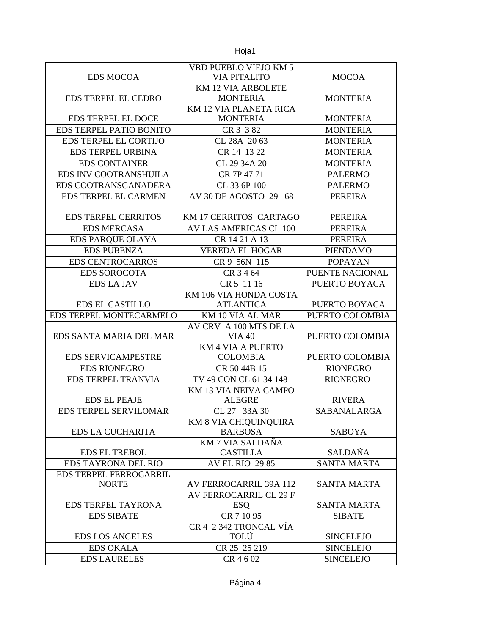|                                        | VRD PUEBLO VIEJO KM 5                        |                    |
|----------------------------------------|----------------------------------------------|--------------------|
| <b>EDS MOCOA</b>                       | VIA PITALITO                                 | <b>MOCOA</b>       |
| <b>EDS TERPEL EL CEDRO</b>             | <b>KM 12 VIA ARBOLETE</b><br><b>MONTERIA</b> | <b>MONTERIA</b>    |
|                                        | KM 12 VIA PLANETA RICA                       |                    |
| <b>EDS TERPEL EL DOCE</b>              | <b>MONTERIA</b>                              | <b>MONTERIA</b>    |
| EDS TERPEL PATIO BONITO                | CR 3 3 82                                    | <b>MONTERIA</b>    |
| EDS TERPEL EL CORTIJO                  | CL 28A 2063                                  | <b>MONTERIA</b>    |
| <b>EDS TERPEL URBINA</b>               | CR 14 13 22                                  | <b>MONTERIA</b>    |
| <b>EDS CONTAINER</b>                   | CL 29 34A 20                                 | <b>MONTERIA</b>    |
| EDS INV COOTRANSHUILA                  | CR 7P 47 71                                  | <b>PALERMO</b>     |
| EDS COOTRANSGANADERA                   | CL 33 6P 100                                 | <b>PALERMO</b>     |
| <b>EDS TERPEL EL CARMEN</b>            | AV 30 DE AGOSTO 29<br>68                     | <b>PEREIRA</b>     |
| <b>EDS TERPEL CERRITOS</b>             | KM 17 CERRITOS CARTAGO                       | <b>PEREIRA</b>     |
| <b>EDS MERCASA</b>                     | AV LAS AMERICAS CL 100                       | PEREIRA            |
| <b>EDS PARQUE OLAYA</b>                | CR 14 21 A 13                                | PEREIRA            |
| <b>EDS PUBENZA</b>                     | <b>VEREDA EL HOGAR</b>                       | <b>PIENDAMO</b>    |
| <b>EDS CENTROCARROS</b>                | CR 9 56N 115                                 | <b>POPAYAN</b>     |
| <b>EDS SOROCOTA</b>                    | CR 3 4 64                                    | PUENTE NACIONAL    |
| <b>EDS LA JAV</b>                      | CR 5 11 16                                   | PUERTO BOYACA      |
|                                        | KM 106 VIA HONDA COSTA                       |                    |
| <b>EDS EL CASTILLO</b>                 | <b>ATLANTICA</b>                             | PUERTO BOYACA      |
| EDS TERPEL MONTECARMELO                | KM 10 VIA AL MAR                             | PUERTO COLOMBIA    |
|                                        | AV CRV A 100 MTS DE LA                       |                    |
| EDS SANTA MARIA DEL MAR                | <b>VIA 40</b>                                | PUERTO COLOMBIA    |
| <b>EDS SERVICAMPESTRE</b>              | <b>KM 4 VIA A PUERTO</b><br><b>COLOMBIA</b>  | PUERTO COLOMBIA    |
| <b>EDS RIONEGRO</b>                    | CR 50 44B 15                                 | <b>RIONEGRO</b>    |
| <b>EDS TERPEL TRANVIA</b>              | TV 49 CON CL 61 34 148                       | <b>RIONEGRO</b>    |
|                                        | KM 13 VIA NEIVA CAMPO                        |                    |
| <b>EDS EL PEAJE</b>                    | <b>ALEGRE</b>                                | <b>RIVERA</b>      |
| <b>EDS TERPEL SERVILOMAR</b>           | CL 27 33A 30                                 | <b>SABANALARGA</b> |
|                                        | KM 8 VIA CHIQUINQUIRA                        |                    |
| <b>EDS LA CUCHARITA</b>                | <b>BARBOSA</b>                               | <b>SABOYA</b>      |
| EDS EL TREBOL                          | KM 7 VIA SALDAÑA                             | SALDAÑA            |
|                                        | <b>CASTILLA</b>                              |                    |
| EDS TAYRONA DEL RIO                    | <b>AV EL RIO 29 85</b>                       | <b>SANTA MARTA</b> |
| EDS TERPEL FERROCARRIL<br><b>NORTE</b> | AV FERROCARRIL 39A 112                       | <b>SANTA MARTA</b> |
|                                        | AV FERROCARRIL CL 29 F                       |                    |
| <b>EDS TERPEL TAYRONA</b>              | <b>ESQ</b>                                   | <b>SANTA MARTA</b> |
| <b>EDS SIBATE</b>                      | CR 7 10 95                                   | <b>SIBATE</b>      |
|                                        | CR 4 2 342 TRONCAL VÍA                       |                    |
| <b>EDS LOS ANGELES</b>                 | TOLÚ                                         | <b>SINCELEJO</b>   |
| <b>EDS OKALA</b>                       | CR 25 25 219                                 | <b>SINCELEJO</b>   |
| <b>EDS LAURELES</b>                    | CR 4602                                      | <b>SINCELEJO</b>   |